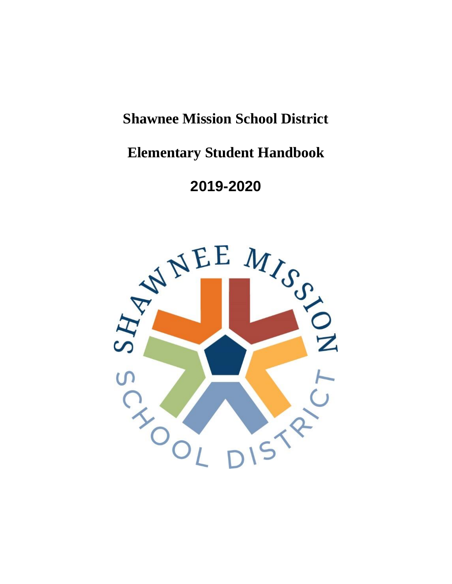# **Shawnee Mission School District**

# **Elementary Student Handbook**

# **2019-2020**

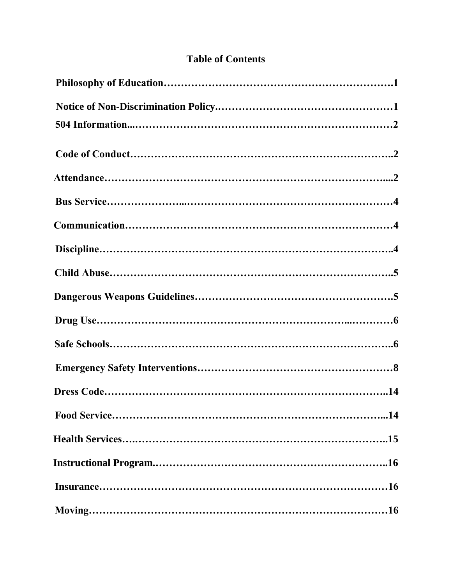# **Table of Contents**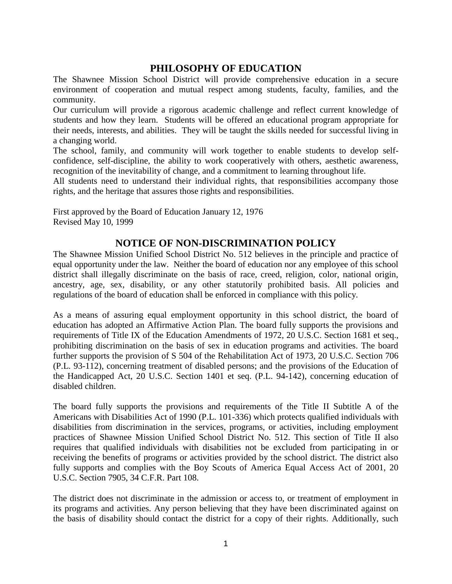# **PHILOSOPHY OF EDUCATION**

The Shawnee Mission School District will provide comprehensive education in a secure environment of cooperation and mutual respect among students, faculty, families, and the community.

Our curriculum will provide a rigorous academic challenge and reflect current knowledge of students and how they learn. Students will be offered an educational program appropriate for their needs, interests, and abilities. They will be taught the skills needed for successful living in a changing world.

The school, family, and community will work together to enable students to develop selfconfidence, self-discipline, the ability to work cooperatively with others, aesthetic awareness, recognition of the inevitability of change, and a commitment to learning throughout life.

All students need to understand their individual rights, that responsibilities accompany those rights, and the heritage that assures those rights and responsibilities.

First approved by the Board of Education January 12, 1976 Revised May 10, 1999

## **NOTICE OF NON-DISCRIMINATION POLICY**

The Shawnee Mission Unified School District No. 512 believes in the principle and practice of equal opportunity under the law. Neither the board of education nor any employee of this school district shall illegally discriminate on the basis of race, creed, religion, color, national origin, ancestry, age, sex, disability, or any other statutorily prohibited basis. All policies and regulations of the board of education shall be enforced in compliance with this policy.

As a means of assuring equal employment opportunity in this school district, the board of education has adopted an Affirmative Action Plan. The board fully supports the provisions and requirements of Title IX of the Education Amendments of 1972, 20 U.S.C. Section 1681 et seq., prohibiting discrimination on the basis of sex in education programs and activities. The board further supports the provision of S 504 of the Rehabilitation Act of 1973, 20 U.S.C. Section 706 (P.L. 93-112), concerning treatment of disabled persons; and the provisions of the Education of the Handicapped Act, 20 U.S.C. Section 1401 et seq. (P.L. 94-142), concerning education of disabled children.

The board fully supports the provisions and requirements of the Title II Subtitle A of the Americans with Disabilities Act of 1990 (P.L. 101-336) which protects qualified individuals with disabilities from discrimination in the services, programs, or activities, including employment practices of Shawnee Mission Unified School District No. 512. This section of Title II also requires that qualified individuals with disabilities not be excluded from participating in or receiving the benefits of programs or activities provided by the school district. The district also fully supports and complies with the Boy Scouts of America Equal Access Act of 2001, 20 U.S.C. Section 7905, 34 C.F.R. Part 108.

The district does not discriminate in the admission or access to, or treatment of employment in its programs and activities. Any person believing that they have been discriminated against on the basis of disability should contact the district for a copy of their rights. Additionally, such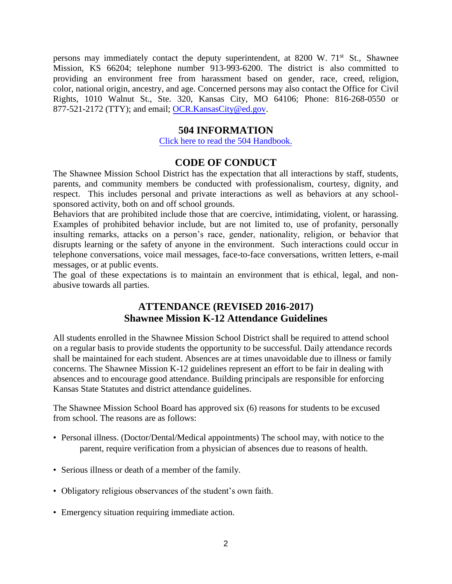persons may immediately contact the deputy superintendent, at 8200 W. 71<sup>st</sup> St., Shawnee Mission, KS 66204; telephone number 913-993-6200. The district is also committed to providing an environment free from harassment based on gender, race, creed, religion, color, national origin, ancestry, and age. Concerned persons may also contact the Office for Civil Rights, 1010 Walnut St., Ste. 320, Kansas City, MO 64106; Phone: 816-268-0550 or 877-521-2172 (TTY); and email; [OCR.KansasCity@ed.gov.](mailto:OCR.KansasCity@ed.gov)

## **504 INFORMATION**

[Click here to read the 504 Handbook.](https://resources.finalsite.net/images/v1529524449/smsdorg/i8mpqjqatk49zubr2unk/504handbookaddressupdated-June2018.pdf)

## **CODE OF CONDUCT**

The Shawnee Mission School District has the expectation that all interactions by staff, students, parents, and community members be conducted with professionalism, courtesy, dignity, and respect. This includes personal and private interactions as well as behaviors at any schoolsponsored activity, both on and off school grounds.

Behaviors that are prohibited include those that are coercive, intimidating, violent, or harassing. Examples of prohibited behavior include, but are not limited to, use of profanity, personally insulting remarks, attacks on a person's race, gender, nationality, religion, or behavior that disrupts learning or the safety of anyone in the environment. Such interactions could occur in telephone conversations, voice mail messages, face-to-face conversations, written letters, e-mail messages, or at public events.

The goal of these expectations is to maintain an environment that is ethical, legal, and nonabusive towards all parties.

## **ATTENDANCE (REVISED 2016-2017) Shawnee Mission K-12 Attendance Guidelines**

All students enrolled in the Shawnee Mission School District shall be required to attend school on a regular basis to provide students the opportunity to be successful. Daily attendance records shall be maintained for each student. Absences are at times unavoidable due to illness or family concerns. The Shawnee Mission K-12 guidelines represent an effort to be fair in dealing with absences and to encourage good attendance. Building principals are responsible for enforcing Kansas State Statutes and district attendance guidelines.

The Shawnee Mission School Board has approved six (6) reasons for students to be excused from school. The reasons are as follows:

- Personal illness. (Doctor/Dental/Medical appointments) The school may, with notice to the parent, require verification from a physician of absences due to reasons of health.
- Serious illness or death of a member of the family.
- Obligatory religious observances of the student's own faith.
- Emergency situation requiring immediate action.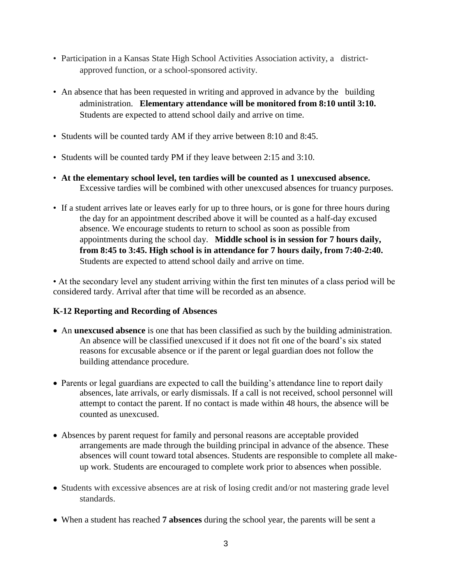- Participation in a Kansas State High School Activities Association activity, a districtapproved function, or a school-sponsored activity.
- An absence that has been requested in writing and approved in advance by the building administration. **Elementary attendance will be monitored from 8:10 until 3:10.**  Students are expected to attend school daily and arrive on time.
- Students will be counted tardy AM if they arrive between 8:10 and 8:45.
- Students will be counted tardy PM if they leave between 2:15 and 3:10.
- **At the elementary school level, ten tardies will be counted as 1 unexcused absence.**  Excessive tardies will be combined with other unexcused absences for truancy purposes.
- If a student arrives late or leaves early for up to three hours, or is gone for three hours during the day for an appointment described above it will be counted as a half-day excused absence. We encourage students to return to school as soon as possible from appointments during the school day. **Middle school is in session for 7 hours daily, from 8:45 to 3:45. High school is in attendance for 7 hours daily, from 7:40-2:40.**  Students are expected to attend school daily and arrive on time.

• At the secondary level any student arriving within the first ten minutes of a class period will be considered tardy. Arrival after that time will be recorded as an absence.

## **K-12 Reporting and Recording of Absences**

- An **unexcused absence** is one that has been classified as such by the building administration. An absence will be classified unexcused if it does not fit one of the board's six stated reasons for excusable absence or if the parent or legal guardian does not follow the building attendance procedure.
- Parents or legal guardians are expected to call the building's attendance line to report daily absences, late arrivals, or early dismissals. If a call is not received, school personnel will attempt to contact the parent. If no contact is made within 48 hours, the absence will be counted as unexcused.
- Absences by parent request for family and personal reasons are acceptable provided arrangements are made through the building principal in advance of the absence. These absences will count toward total absences. Students are responsible to complete all makeup work. Students are encouraged to complete work prior to absences when possible.
- Students with excessive absences are at risk of losing credit and/or not mastering grade level standards.
- When a student has reached **7 absences** during the school year, the parents will be sent a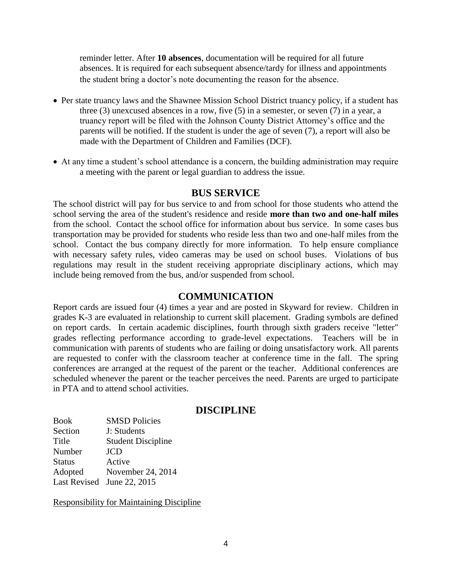reminder letter. After **10 absences**, documentation will be required for all future absences. It is required for each subsequent absence/tardy for illness and appointments the student bring a doctor's note documenting the reason for the absence.

- Per state truancy laws and the Shawnee Mission School District truancy policy, if a student has three (3) unexcused absences in a row, five (5) in a semester, or seven (7) in a year, a truancy report will be filed with the Johnson County District Attorney's office and the parents will be notified. If the student is under the age of seven (7), a report will also be made with the Department of Children and Families (DCF).
- At any time a student's school attendance is a concern, the building administration may require a meeting with the parent or legal guardian to address the issue.

#### **BUS SERVICE**

The school district will pay for bus service to and from school for those students who attend the school serving the area of the student's residence and reside **more than two and one-half miles** from the school. Contact the school office for information about bus service. In some cases bus transportation may be provided for students who reside less than two and one-half miles from the school. Contact the bus company directly for more information. To help ensure compliance with necessary safety rules, video cameras may be used on school buses. Violations of bus regulations may result in the student receiving appropriate disciplinary actions, which may include being removed from the bus, and/or suspended from school.

#### **COMMUNICATION**

Report cards are issued four (4) times a year and are posted in Skyward for review. Children in grades K-3 are evaluated in relationship to current skill placement. Grading symbols are defined on report cards. In certain academic disciplines, fourth through sixth graders receive "letter" grades reflecting performance according to grade-level expectations. Teachers will be in communication with parents of students who are failing or doing unsatisfactory work. All parents are requested to confer with the classroom teacher at conference time in the fall. The spring conferences are arranged at the request of the parent or the teacher. Additional conferences are scheduled whenever the parent or the teacher perceives the need. Parents are urged to participate in PTA and to attend school activities.

## **DISCIPLINE**

Book SMSD Policies Section J: Students Title Student Discipline Number JCD Status Active Adopted November 24, 2014 Last Revised June 22, 2015

Responsibility for Maintaining Discipline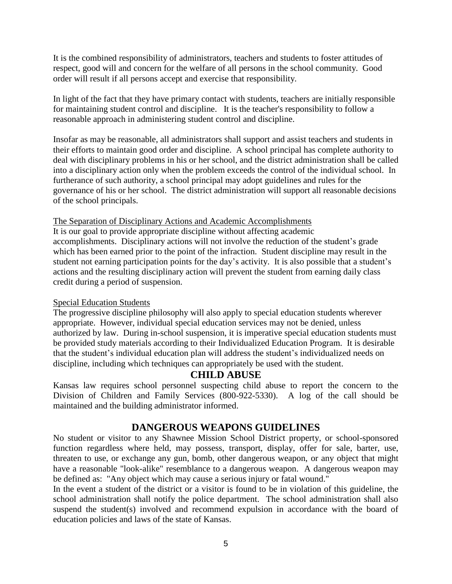It is the combined responsibility of administrators, teachers and students to foster attitudes of respect, good will and concern for the welfare of all persons in the school community. Good order will result if all persons accept and exercise that responsibility.

In light of the fact that they have primary contact with students, teachers are initially responsible for maintaining student control and discipline. It is the teacher's responsibility to follow a reasonable approach in administering student control and discipline.

Insofar as may be reasonable, all administrators shall support and assist teachers and students in their efforts to maintain good order and discipline. A school principal has complete authority to deal with disciplinary problems in his or her school, and the district administration shall be called into a disciplinary action only when the problem exceeds the control of the individual school. In furtherance of such authority, a school principal may adopt guidelines and rules for the governance of his or her school. The district administration will support all reasonable decisions of the school principals.

#### The Separation of Disciplinary Actions and Academic Accomplishments

It is our goal to provide appropriate discipline without affecting academic accomplishments. Disciplinary actions will not involve the reduction of the student's grade which has been earned prior to the point of the infraction. Student discipline may result in the student not earning participation points for the day's activity. It is also possible that a student's actions and the resulting disciplinary action will prevent the student from earning daily class credit during a period of suspension.

#### Special Education Students

The progressive discipline philosophy will also apply to special education students wherever appropriate. However, individual special education services may not be denied, unless authorized by law. During in-school suspension, it is imperative special education students must be provided study materials according to their Individualized Education Program. It is desirable that the student's individual education plan will address the student's individualized needs on discipline, including which techniques can appropriately be used with the student.

## **CHILD ABUSE**

Kansas law requires school personnel suspecting child abuse to report the concern to the Division of Children and Family Services (800-922-5330). A log of the call should be maintained and the building administrator informed.

## **DANGEROUS WEAPONS GUIDELINES**

No student or visitor to any Shawnee Mission School District property, or school-sponsored function regardless where held, may possess, transport, display, offer for sale, barter, use, threaten to use, or exchange any gun, bomb, other dangerous weapon, or any object that might have a reasonable "look-alike" resemblance to a dangerous weapon. A dangerous weapon may be defined as: "Any object which may cause a serious injury or fatal wound."

In the event a student of the district or a visitor is found to be in violation of this guideline, the school administration shall notify the police department. The school administration shall also suspend the student(s) involved and recommend expulsion in accordance with the board of education policies and laws of the state of Kansas.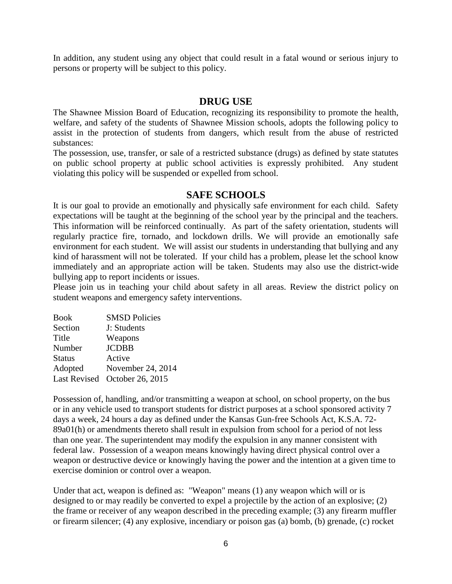In addition, any student using any object that could result in a fatal wound or serious injury to persons or property will be subject to this policy.

#### **DRUG USE**

The Shawnee Mission Board of Education, recognizing its responsibility to promote the health, welfare, and safety of the students of Shawnee Mission schools, adopts the following policy to assist in the protection of students from dangers, which result from the abuse of restricted substances:

The possession, use, transfer, or sale of a restricted substance (drugs) as defined by state statutes on public school property at public school activities is expressly prohibited. Any student violating this policy will be suspended or expelled from school.

## **SAFE SCHOOLS**

It is our goal to provide an emotionally and physically safe environment for each child. Safety expectations will be taught at the beginning of the school year by the principal and the teachers. This information will be reinforced continually. As part of the safety orientation, students will regularly practice fire, tornado, and lockdown drills. We will provide an emotionally safe environment for each student. We will assist our students in understanding that bullying and any kind of harassment will not be tolerated. If your child has a problem, please let the school know immediately and an appropriate action will be taken. Students may also use the district-wide bullying app to report incidents or issues.

Please join us in teaching your child about safety in all areas. Review the district policy on student weapons and emergency safety interventions.

| <b>SMSD Policies</b><br><b>Book</b>     |  |
|-----------------------------------------|--|
| Section<br>J: Students                  |  |
| Title<br>Weapons                        |  |
| <b>JCDBB</b><br>Number                  |  |
| Active<br><b>Status</b>                 |  |
| November 24, 2014<br>Adopted            |  |
| October 26, 2015<br><b>Last Revised</b> |  |

Possession of, handling, and/or transmitting a weapon at school, on school property, on the bus or in any vehicle used to transport students for district purposes at a school sponsored activity 7 days a week, 24 hours a day as defined under the Kansas Gun-free Schools Act, K.S.A. 72- 89a01(h) or amendments thereto shall result in expulsion from school for a period of not less than one year. The superintendent may modify the expulsion in any manner consistent with federal law. Possession of a weapon means knowingly having direct physical control over a weapon or destructive device or knowingly having the power and the intention at a given time to exercise dominion or control over a weapon.

Under that act, weapon is defined as: "Weapon" means (1) any weapon which will or is designed to or may readily be converted to expel a projectile by the action of an explosive; (2) the frame or receiver of any weapon described in the preceding example; (3) any firearm muffler or firearm silencer; (4) any explosive, incendiary or poison gas (a) bomb, (b) grenade, (c) rocket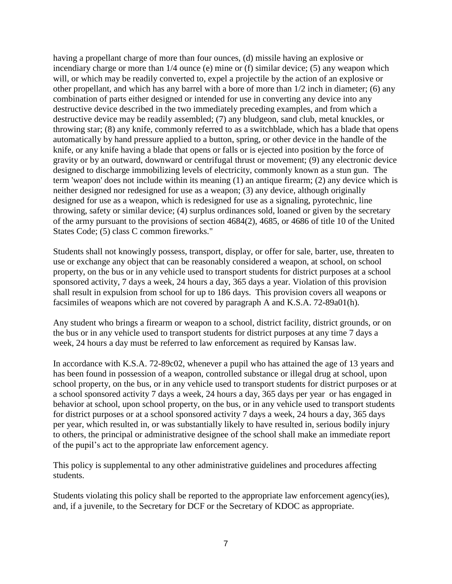having a propellant charge of more than four ounces, (d) missile having an explosive or incendiary charge or more than 1/4 ounce (e) mine or (f) similar device; (5) any weapon which will, or which may be readily converted to, expel a projectile by the action of an explosive or other propellant, and which has any barrel with a bore of more than 1/2 inch in diameter; (6) any combination of parts either designed or intended for use in converting any device into any destructive device described in the two immediately preceding examples, and from which a destructive device may be readily assembled; (7) any bludgeon, sand club, metal knuckles, or throwing star; (8) any knife, commonly referred to as a switchblade, which has a blade that opens automatically by hand pressure applied to a button, spring, or other device in the handle of the knife, or any knife having a blade that opens or falls or is ejected into position by the force of gravity or by an outward, downward or centrifugal thrust or movement; (9) any electronic device designed to discharge immobilizing levels of electricity, commonly known as a stun gun. The term 'weapon' does not include within its meaning (1) an antique firearm; (2) any device which is neither designed nor redesigned for use as a weapon; (3) any device, although originally designed for use as a weapon, which is redesigned for use as a signaling, pyrotechnic, line throwing, safety or similar device; (4) surplus ordinances sold, loaned or given by the secretary of the army pursuant to the provisions of section 4684(2), 4685, or 4686 of title 10 of the United States Code; (5) class C common fireworks."

Students shall not knowingly possess, transport, display, or offer for sale, barter, use, threaten to use or exchange any object that can be reasonably considered a weapon, at school, on school property, on the bus or in any vehicle used to transport students for district purposes at a school sponsored activity, 7 days a week, 24 hours a day, 365 days a year. Violation of this provision shall result in expulsion from school for up to 186 days. This provision covers all weapons or facsimiles of weapons which are not covered by paragraph A and K.S.A. 72-89a01(h).

Any student who brings a firearm or weapon to a school, district facility, district grounds, or on the bus or in any vehicle used to transport students for district purposes at any time 7 days a week, 24 hours a day must be referred to law enforcement as required by Kansas law.

In accordance with K.S.A. 72-89c02, whenever a pupil who has attained the age of 13 years and has been found in possession of a weapon, controlled substance or illegal drug at school, upon school property, on the bus, or in any vehicle used to transport students for district purposes or at a school sponsored activity 7 days a week, 24 hours a day, 365 days per year or has engaged in behavior at school, upon school property, on the bus, or in any vehicle used to transport students for district purposes or at a school sponsored activity 7 days a week, 24 hours a day, 365 days per year, which resulted in, or was substantially likely to have resulted in, serious bodily injury to others, the principal or administrative designee of the school shall make an immediate report of the pupil's act to the appropriate law enforcement agency.

This policy is supplemental to any other administrative guidelines and procedures affecting students.

Students violating this policy shall be reported to the appropriate law enforcement agency(ies), and, if a juvenile, to the Secretary for DCF or the Secretary of KDOC as appropriate.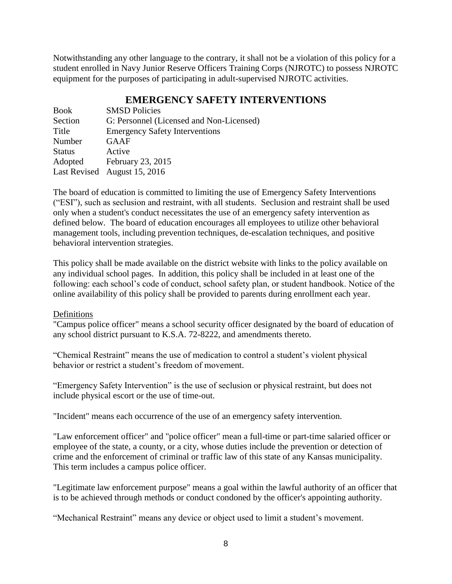Notwithstanding any other language to the contrary, it shall not be a violation of this policy for a student enrolled in Navy Junior Reserve Officers Training Corps (NJROTC) to possess NJROTC equipment for the purposes of participating in adult-supervised NJROTC activities.

# **EMERGENCY SAFETY INTERVENTIONS**

| Book          | <b>SMSD Policies</b>                     |
|---------------|------------------------------------------|
| Section       | G: Personnel (Licensed and Non-Licensed) |
| Title         | <b>Emergency Safety Interventions</b>    |
| Number        | <b>GAAF</b>                              |
| <b>Status</b> | Active                                   |
| Adopted       | February 23, 2015                        |
|               | Last Revised August 15, 2016             |

The board of education is committed to limiting the use of Emergency Safety Interventions ("ESI"), such as seclusion and restraint, with all students. Seclusion and restraint shall be used only when a student's conduct necessitates the use of an emergency safety intervention as defined below. The board of education encourages all employees to utilize other behavioral management tools, including prevention techniques, de-escalation techniques, and positive behavioral intervention strategies.

This policy shall be made available on the district website with links to the policy available on any individual school pages. In addition, this policy shall be included in at least one of the following: each school's code of conduct, school safety plan, or student handbook. Notice of the online availability of this policy shall be provided to parents during enrollment each year.

## Definitions

"Campus police officer" means a school security officer designated by the board of education of any school district pursuant to K.S.A. 72-8222, and amendments thereto.

"Chemical Restraint" means the use of medication to control a student's violent physical behavior or restrict a student's freedom of movement.

"Emergency Safety Intervention" is the use of seclusion or physical restraint, but does not include physical escort or the use of time-out.

"Incident" means each occurrence of the use of an emergency safety intervention.

"Law enforcement officer" and "police officer" mean a full-time or part-time salaried officer or employee of the state, a county, or a city, whose duties include the prevention or detection of crime and the enforcement of criminal or traffic law of this state of any Kansas municipality. This term includes a campus police officer.

"Legitimate law enforcement purpose" means a goal within the lawful authority of an officer that is to be achieved through methods or conduct condoned by the officer's appointing authority.

"Mechanical Restraint" means any device or object used to limit a student's movement.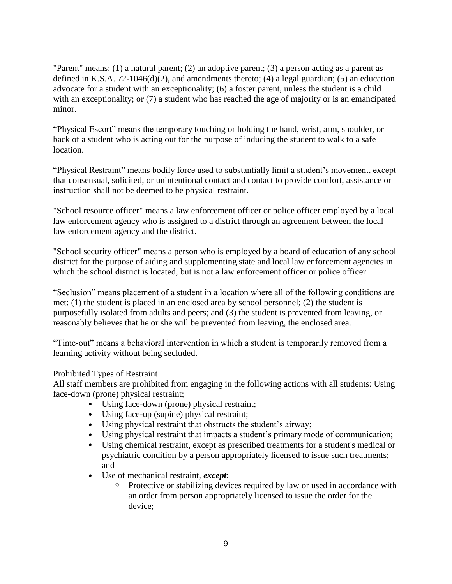"Parent" means: (1) a natural parent; (2) an adoptive parent; (3) a person acting as a parent as defined in K.S.A. 72-1046(d)(2), and amendments thereto; (4) a legal guardian; (5) an education advocate for a student with an exceptionality; (6) a foster parent, unless the student is a child with an exceptionality; or (7) a student who has reached the age of majority or is an emancipated minor.

"Physical Escort" means the temporary touching or holding the hand, wrist, arm, shoulder, or back of a student who is acting out for the purpose of inducing the student to walk to a safe location.

"Physical Restraint" means bodily force used to substantially limit a student's movement, except that consensual, solicited, or unintentional contact and contact to provide comfort, assistance or instruction shall not be deemed to be physical restraint.

"School resource officer" means a law enforcement officer or police officer employed by a local law enforcement agency who is assigned to a district through an agreement between the local law enforcement agency and the district.

"School security officer" means a person who is employed by a board of education of any school district for the purpose of aiding and supplementing state and local law enforcement agencies in which the school district is located, but is not a law enforcement officer or police officer.

"Seclusion" means placement of a student in a location where all of the following conditions are met: (1) the student is placed in an enclosed area by school personnel; (2) the student is purposefully isolated from adults and peers; and (3) the student is prevented from leaving, or reasonably believes that he or she will be prevented from leaving, the enclosed area.

"Time-out" means a behavioral intervention in which a student is temporarily removed from a learning activity without being secluded.

#### Prohibited Types of Restraint

All staff members are prohibited from engaging in the following actions with all students: Using face-down (prone) physical restraint;

- Using face-down (prone) physical restraint;
- Using face-up (supine) physical restraint;
- Using physical restraint that obstructs the student's airway;
- Using physical restraint that impacts a student's primary mode of communication;
- Using chemical restraint, except as prescribed treatments for a student's medical or psychiatric condition by a person appropriately licensed to issue such treatments; and
- Use of mechanical restraint, *except*:
	- o Protective or stabilizing devices required by law or used in accordance with an order from person appropriately licensed to issue the order for the device;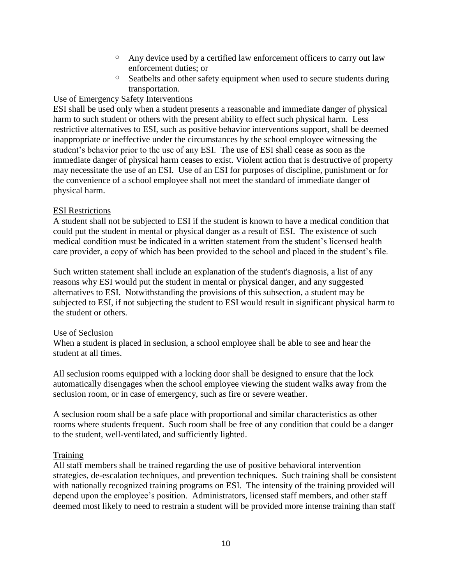- o Any device used by a certified law enforcement officers to carry out law enforcement duties; or
- o Seatbelts and other safety equipment when used to secure students during transportation.

## Use of Emergency Safety Interventions

ESI shall be used only when a student presents a reasonable and immediate danger of physical harm to such student or others with the present ability to effect such physical harm. Less restrictive alternatives to ESI, such as positive behavior interventions support, shall be deemed inappropriate or ineffective under the circumstances by the school employee witnessing the student's behavior prior to the use of any ESI. The use of ESI shall cease as soon as the immediate danger of physical harm ceases to exist. Violent action that is destructive of property may necessitate the use of an ESI. Use of an ESI for purposes of discipline, punishment or for the convenience of a school employee shall not meet the standard of immediate danger of physical harm.

## ESI Restrictions

A student shall not be subjected to ESI if the student is known to have a medical condition that could put the student in mental or physical danger as a result of ESI. The existence of such medical condition must be indicated in a written statement from the student's licensed health care provider, a copy of which has been provided to the school and placed in the student's file.

Such written statement shall include an explanation of the student's diagnosis, a list of any reasons why ESI would put the student in mental or physical danger, and any suggested alternatives to ESI. Notwithstanding the provisions of this subsection, a student may be subjected to ESI, if not subjecting the student to ESI would result in significant physical harm to the student or others.

## Use of Seclusion

When a student is placed in seclusion, a school employee shall be able to see and hear the student at all times.

All seclusion rooms equipped with a locking door shall be designed to ensure that the lock automatically disengages when the school employee viewing the student walks away from the seclusion room, or in case of emergency, such as fire or severe weather.

A seclusion room shall be a safe place with proportional and similar characteristics as other rooms where students frequent. Such room shall be free of any condition that could be a danger to the student, well-ventilated, and sufficiently lighted.

## Training

All staff members shall be trained regarding the use of positive behavioral intervention strategies, de-escalation techniques, and prevention techniques. Such training shall be consistent with nationally recognized training programs on ESI. The intensity of the training provided will depend upon the employee's position. Administrators, licensed staff members, and other staff deemed most likely to need to restrain a student will be provided more intense training than staff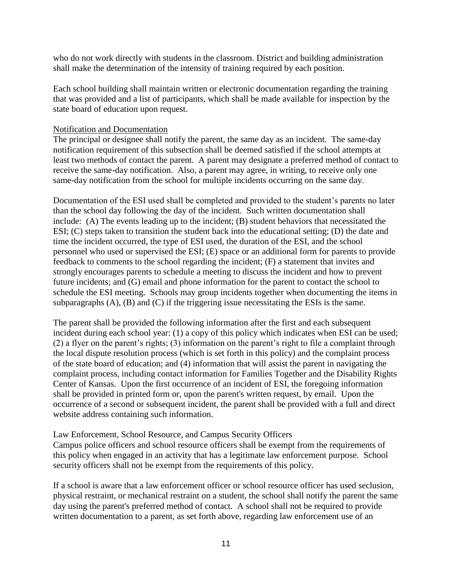who do not work directly with students in the classroom. District and building administration shall make the determination of the intensity of training required by each position.

Each school building shall maintain written or electronic documentation regarding the training that was provided and a list of participants, which shall be made available for inspection by the state board of education upon request.

#### Notification and Documentation

The principal or designee shall notify the parent, the same day as an incident. The same-day notification requirement of this subsection shall be deemed satisfied if the school attempts at least two methods of contact the parent. A parent may designate a preferred method of contact to receive the same-day notification. Also, a parent may agree, in writing, to receive only one same-day notification from the school for multiple incidents occurring on the same day.

Documentation of the ESI used shall be completed and provided to the student's parents no later than the school day following the day of the incident. Such written documentation shall include: (A) The events leading up to the incident; (B) student behaviors that necessitated the ESI; (C) steps taken to transition the student back into the educational setting; (D) the date and time the incident occurred, the type of ESI used, the duration of the ESI, and the school personnel who used or supervised the ESI; (E) space or an additional form for parents to provide feedback to comments to the school regarding the incident; (F) a statement that invites and strongly encourages parents to schedule a meeting to discuss the incident and how to prevent future incidents; and (G) email and phone information for the parent to contact the school to schedule the ESI meeting. Schools may group incidents together when documenting the items in subparagraphs (A), (B) and (C) if the triggering issue necessitating the ESIs is the same.

The parent shall be provided the following information after the first and each subsequent incident during each school year: (1) a copy of this policy which indicates when ESI can be used; (2) a flyer on the parent's rights; (3) information on the parent's right to file a complaint through the local dispute resolution process (which is set forth in this policy) and the complaint process of the state board of education; and (4) information that will assist the parent in navigating the complaint process, including contact information for Families Together and the Disability Rights Center of Kansas. Upon the first occurrence of an incident of ESI, the foregoing information shall be provided in printed form or, upon the parent's written request, by email. Upon the occurrence of a second or subsequent incident, the parent shall be provided with a full and direct website address containing such information.

Law Enforcement, School Resource, and Campus Security Officers Campus police officers and school resource officers shall be exempt from the requirements of this policy when engaged in an activity that has a legitimate law enforcement purpose. School security officers shall not be exempt from the requirements of this policy.

If a school is aware that a law enforcement officer or school resource officer has used seclusion, physical restraint, or mechanical restraint on a student, the school shall notify the parent the same day using the parent's preferred method of contact. A school shall not be required to provide written documentation to a parent, as set forth above, regarding law enforcement use of an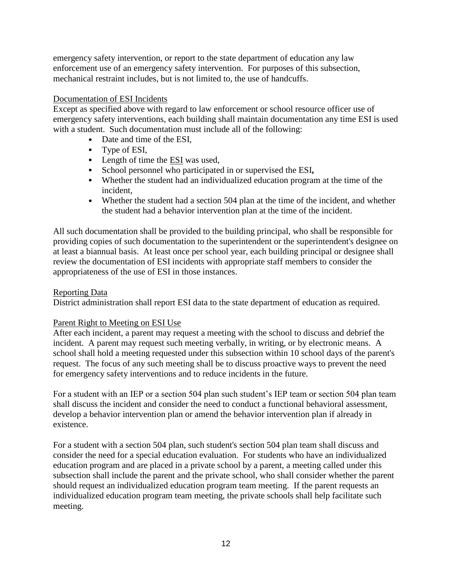emergency safety intervention, or report to the state department of education any law enforcement use of an emergency safety intervention. For purposes of this subsection, mechanical restraint includes, but is not limited to, the use of handcuffs.

#### Documentation of ESI Incidents

Except as specified above with regard to law enforcement or school resource officer use of emergency safety interventions, each building shall maintain documentation any time ESI is used with a student. Such documentation must include all of the following:

- Date and time of the ESI,
- Type of ESI,
- Length of time the ESI was used,
- School personnel who participated in or supervised the ESI**,**
- Whether the student had an individualized education program at the time of the incident,
- Whether the student had a section 504 plan at the time of the incident, and whether the student had a behavior intervention plan at the time of the incident.

All such documentation shall be provided to the building principal, who shall be responsible for providing copies of such documentation to the superintendent or the superintendent's designee on at least a biannual basis. At least once per school year, each building principal or designee shall review the documentation of ESI incidents with appropriate staff members to consider the appropriateness of the use of ESI in those instances.

#### Reporting Data

District administration shall report ESI data to the state department of education as required.

## Parent Right to Meeting on ESI Use

After each incident, a parent may request a meeting with the school to discuss and debrief the incident. A parent may request such meeting verbally, in writing, or by electronic means. A school shall hold a meeting requested under this subsection within 10 school days of the parent's request. The focus of any such meeting shall be to discuss proactive ways to prevent the need for emergency safety interventions and to reduce incidents in the future.

For a student with an IEP or a section 504 plan such student's IEP team or section 504 plan team shall discuss the incident and consider the need to conduct a functional behavioral assessment, develop a behavior intervention plan or amend the behavior intervention plan if already in existence.

For a student with a section 504 plan, such student's section 504 plan team shall discuss and consider the need for a special education evaluation. For students who have an individualized education program and are placed in a private school by a parent, a meeting called under this subsection shall include the parent and the private school, who shall consider whether the parent should request an individualized education program team meeting. If the parent requests an individualized education program team meeting, the private schools shall help facilitate such meeting.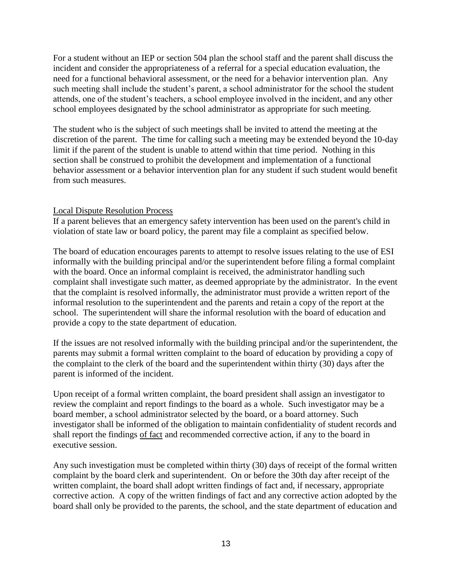For a student without an IEP or section 504 plan the school staff and the parent shall discuss the incident and consider the appropriateness of a referral for a special education evaluation, the need for a functional behavioral assessment, or the need for a behavior intervention plan. Any such meeting shall include the student's parent, a school administrator for the school the student attends, one of the student's teachers, a school employee involved in the incident, and any other school employees designated by the school administrator as appropriate for such meeting.

The student who is the subject of such meetings shall be invited to attend the meeting at the discretion of the parent. The time for calling such a meeting may be extended beyond the 10-day limit if the parent of the student is unable to attend within that time period. Nothing in this section shall be construed to prohibit the development and implementation of a functional behavior assessment or a behavior intervention plan for any student if such student would benefit from such measures.

#### Local Dispute Resolution Process

If a parent believes that an emergency safety intervention has been used on the parent's child in violation of state law or board policy, the parent may file a complaint as specified below.

The board of education encourages parents to attempt to resolve issues relating to the use of ESI informally with the building principal and/or the superintendent before filing a formal complaint with the board. Once an informal complaint is received, the administrator handling such complaint shall investigate such matter, as deemed appropriate by the administrator. In the event that the complaint is resolved informally, the administrator must provide a written report of the informal resolution to the superintendent and the parents and retain a copy of the report at the school. The superintendent will share the informal resolution with the board of education and provide a copy to the state department of education.

If the issues are not resolved informally with the building principal and/or the superintendent, the parents may submit a formal written complaint to the board of education by providing a copy of the complaint to the clerk of the board and the superintendent within thirty (30) days after the parent is informed of the incident.

Upon receipt of a formal written complaint, the board president shall assign an investigator to review the complaint and report findings to the board as a whole. Such investigator may be a board member, a school administrator selected by the board, or a board attorney. Such investigator shall be informed of the obligation to maintain confidentiality of student records and shall report the findings of fact and recommended corrective action, if any to the board in executive session.

Any such investigation must be completed within thirty (30) days of receipt of the formal written complaint by the board clerk and superintendent. On or before the 30th day after receipt of the written complaint, the board shall adopt written findings of fact and, if necessary, appropriate corrective action. A copy of the written findings of fact and any corrective action adopted by the board shall only be provided to the parents, the school, and the state department of education and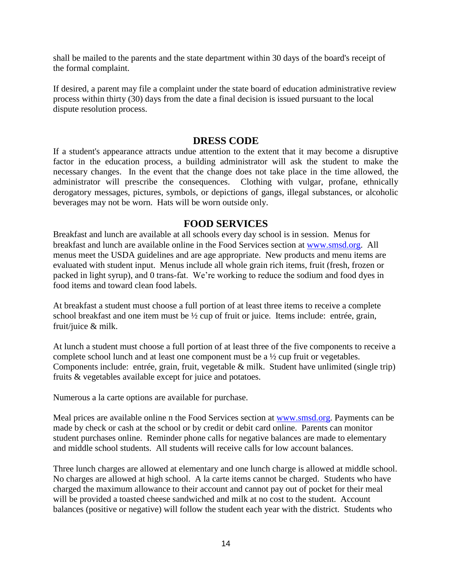shall be mailed to the parents and the state department within 30 days of the board's receipt of the formal complaint.

If desired, a parent may file a complaint under the state board of education administrative review process within thirty (30) days from the date a final decision is issued pursuant to the local dispute resolution process.

## **DRESS CODE**

If a student's appearance attracts undue attention to the extent that it may become a disruptive factor in the education process, a building administrator will ask the student to make the necessary changes. In the event that the change does not take place in the time allowed, the administrator will prescribe the consequences. Clothing with vulgar, profane, ethnically derogatory messages, pictures, symbols, or depictions of gangs, illegal substances, or alcoholic beverages may not be worn. Hats will be worn outside only.

## **FOOD SERVICES**

Breakfast and lunch are available at all schools every day school is in session. Menus for breakfast and lunch are available online in the Food Services section at [www.smsd.org.](http://www.smsd.org/) All menus meet the USDA guidelines and are age appropriate. New products and menu items are evaluated with student input. Menus include all whole grain rich items, fruit (fresh, frozen or packed in light syrup), and 0 trans-fat. We're working to reduce the sodium and food dyes in food items and toward clean food labels.

At breakfast a student must choose a full portion of at least three items to receive a complete school breakfast and one item must be ½ cup of fruit or juice. Items include: entrée, grain, fruit/juice & milk.

At lunch a student must choose a full portion of at least three of the five components to receive a complete school lunch and at least one component must be a ½ cup fruit or vegetables. Components include: entrée, grain, fruit, vegetable & milk. Student have unlimited (single trip) fruits & vegetables available except for juice and potatoes.

Numerous a la carte options are available for purchase.

Meal prices are available online n the Food Services section at [www.smsd.org.](http://www.smsd.org/) Payments can be made by check or cash at the school or by credit or debit card online. Parents can monitor student purchases online. Reminder phone calls for negative balances are made to elementary and middle school students. All students will receive calls for low account balances.

Three lunch charges are allowed at elementary and one lunch charge is allowed at middle school. No charges are allowed at high school. A la carte items cannot be charged. Students who have charged the maximum allowance to their account and cannot pay out of pocket for their meal will be provided a toasted cheese sandwiched and milk at no cost to the student. Account balances (positive or negative) will follow the student each year with the district. Students who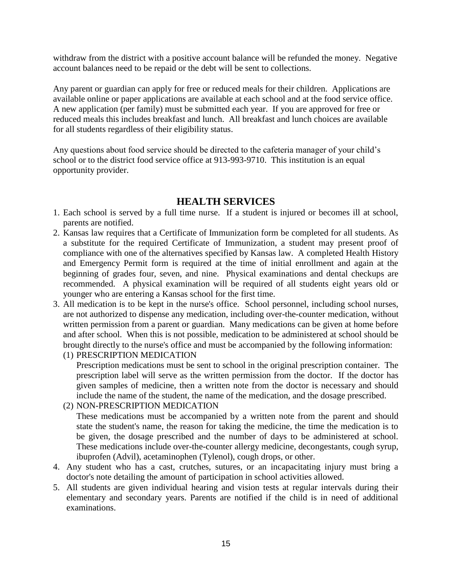withdraw from the district with a positive account balance will be refunded the money. Negative account balances need to be repaid or the debt will be sent to collections.

Any parent or guardian can apply for free or reduced meals for their children. Applications are available online or paper applications are available at each school and at the food service office. A new application (per family) must be submitted each year. If you are approved for free or reduced meals this includes breakfast and lunch. All breakfast and lunch choices are available for all students regardless of their eligibility status.

Any questions about food service should be directed to the cafeteria manager of your child's school or to the district food service office at 913-993-9710. This institution is an equal opportunity provider.

## **HEALTH SERVICES**

- 1. Each school is served by a full time nurse. If a student is injured or becomes ill at school, parents are notified.
- 2. Kansas law requires that a Certificate of Immunization form be completed for all students. As a substitute for the required Certificate of Immunization, a student may present proof of compliance with one of the alternatives specified by Kansas law. A completed Health History and Emergency Permit form is required at the time of initial enrollment and again at the beginning of grades four, seven, and nine. Physical examinations and dental checkups are recommended. A physical examination will be required of all students eight years old or younger who are entering a Kansas school for the first time.
- 3. All medication is to be kept in the nurse's office. School personnel, including school nurses, are not authorized to dispense any medication, including over-the-counter medication, without written permission from a parent or guardian. Many medications can be given at home before and after school. When this is not possible, medication to be administered at school should be brought directly to the nurse's office and must be accompanied by the following information:

(1) PRESCRIPTION MEDICATION Prescription medications must be sent to school in the original prescription container. The prescription label will serve as the written permission from the doctor. If the doctor has given samples of medicine, then a written note from the doctor is necessary and should include the name of the student, the name of the medication, and the dosage prescribed.

- (2) NON-PRESCRIPTION MEDICATION These medications must be accompanied by a written note from the parent and should state the student's name, the reason for taking the medicine, the time the medication is to be given, the dosage prescribed and the number of days to be administered at school. These medications include over-the-counter allergy medicine, decongestants, cough syrup, ibuprofen (Advil), acetaminophen (Tylenol), cough drops, or other.
- 4. Any student who has a cast, crutches, sutures, or an incapacitating injury must bring a doctor's note detailing the amount of participation in school activities allowed.
- 5. All students are given individual hearing and vision tests at regular intervals during their elementary and secondary years. Parents are notified if the child is in need of additional examinations.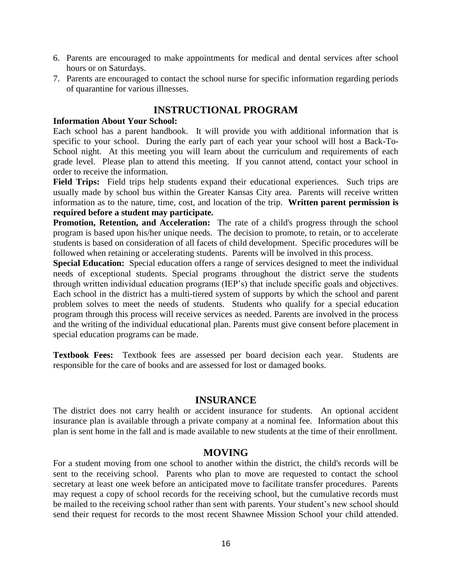- 6. Parents are encouraged to make appointments for medical and dental services after school hours or on Saturdays.
- 7. Parents are encouraged to contact the school nurse for specific information regarding periods of quarantine for various illnesses.

## **INSTRUCTIONAL PROGRAM**

#### **Information About Your School:**

Each school has a parent handbook. It will provide you with additional information that is specific to your school. During the early part of each year your school will host a Back-To-School night. At this meeting you will learn about the curriculum and requirements of each grade level. Please plan to attend this meeting. If you cannot attend, contact your school in order to receive the information.

**Field Trips:** Field trips help students expand their educational experiences. Such trips are usually made by school bus within the Greater Kansas City area. Parents will receive written information as to the nature, time, cost, and location of the trip. **Written parent permission is required before a student may participate.**

**Promotion, Retention, and Acceleration:** The rate of a child's progress through the school program is based upon his/her unique needs. The decision to promote, to retain, or to accelerate students is based on consideration of all facets of child development. Specific procedures will be followed when retaining or accelerating students. Parents will be involved in this process.

**Special Education:** Special education offers a range of services designed to meet the individual needs of exceptional students. Special programs throughout the district serve the students through written individual education programs (IEP's) that include specific goals and objectives. Each school in the district has a multi-tiered system of supports by which the school and parent problem solves to meet the needs of students. Students who qualify for a special education program through this process will receive services as needed. Parents are involved in the process and the writing of the individual educational plan. Parents must give consent before placement in special education programs can be made.

**Textbook Fees:** Textbook fees are assessed per board decision each year. Students are responsible for the care of books and are assessed for lost or damaged books.

## **INSURANCE**

The district does not carry health or accident insurance for students. An optional accident insurance plan is available through a private company at a nominal fee. Information about this plan is sent home in the fall and is made available to new students at the time of their enrollment.

#### **MOVING**

For a student moving from one school to another within the district, the child's records will be sent to the receiving school. Parents who plan to move are requested to contact the school secretary at least one week before an anticipated move to facilitate transfer procedures. Parents may request a copy of school records for the receiving school, but the cumulative records must be mailed to the receiving school rather than sent with parents. Your student's new school should send their request for records to the most recent Shawnee Mission School your child attended.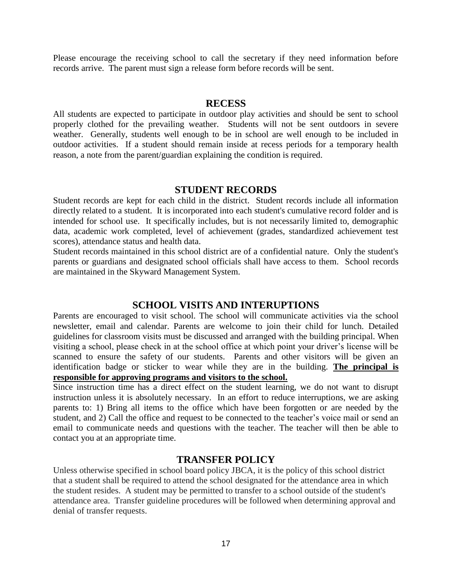Please encourage the receiving school to call the secretary if they need information before records arrive. The parent must sign a release form before records will be sent.

#### **RECESS**

All students are expected to participate in outdoor play activities and should be sent to school properly clothed for the prevailing weather. Students will not be sent outdoors in severe weather. Generally, students well enough to be in school are well enough to be included in outdoor activities. If a student should remain inside at recess periods for a temporary health reason, a note from the parent/guardian explaining the condition is required.

#### **STUDENT RECORDS**

Student records are kept for each child in the district. Student records include all information directly related to a student. It is incorporated into each student's cumulative record folder and is intended for school use. It specifically includes, but is not necessarily limited to, demographic data, academic work completed, level of achievement (grades, standardized achievement test scores), attendance status and health data.

Student records maintained in this school district are of a confidential nature. Only the student's parents or guardians and designated school officials shall have access to them. School records are maintained in the Skyward Management System.

## **SCHOOL VISITS AND INTERUPTIONS**

Parents are encouraged to visit school. The school will communicate activities via the school newsletter, email and calendar. Parents are welcome to join their child for lunch. Detailed guidelines for classroom visits must be discussed and arranged with the building principal. When visiting a school, please check in at the school office at which point your driver's license will be scanned to ensure the safety of our students. Parents and other visitors will be given an identification badge or sticker to wear while they are in the building. **The principal is responsible for approving programs and visitors to the school.**

Since instruction time has a direct effect on the student learning, we do not want to disrupt instruction unless it is absolutely necessary. In an effort to reduce interruptions, we are asking parents to: 1) Bring all items to the office which have been forgotten or are needed by the student, and 2) Call the office and request to be connected to the teacher's voice mail or send an email to communicate needs and questions with the teacher. The teacher will then be able to contact you at an appropriate time.

## **TRANSFER POLICY**

Unless otherwise specified in school board policy JBCA, it is the policy of this school district that a student shall be required to attend the school designated for the attendance area in which the student resides. A student may be permitted to transfer to a school outside of the student's attendance area. Transfer guideline procedures will be followed when determining approval and denial of transfer requests.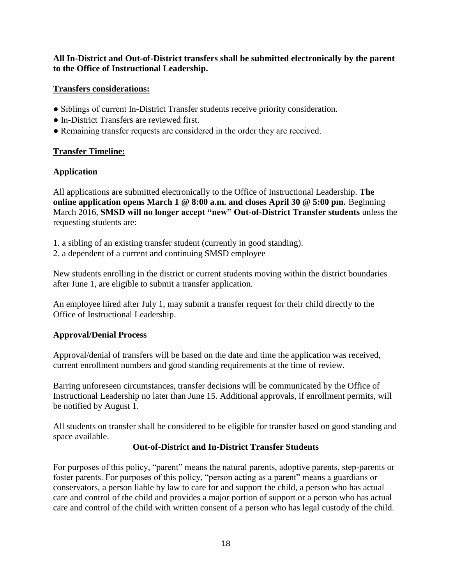## **All In-District and Out-of-District transfers shall be submitted electronically by the parent to the Office of Instructional Leadership.**

## **Transfers considerations:**

- Siblings of current In-District Transfer students receive priority consideration.
- In-District Transfers are reviewed first.
- Remaining transfer requests are considered in the order they are received.

## **Transfer Timeline:**

## **Application**

All applications are submitted electronically to the Office of Instructional Leadership. **The online application opens March 1 @ 8:00 a.m. and closes April 30 @ 5:00 pm.** Beginning March 2016, **SMSD will no longer accept "new" Out-of-District Transfer students** unless the requesting students are:

- 1. a sibling of an existing transfer student (currently in good standing).
- 2. a dependent of a current and continuing SMSD employee

New students enrolling in the district or current students moving within the district boundaries after June 1, are eligible to submit a transfer application.

An employee hired after July 1, may submit a transfer request for their child directly to the Office of Instructional Leadership.

# **Approval/Denial Process**

Approval/denial of transfers will be based on the date and time the application was received, current enrollment numbers and good standing requirements at the time of review.

Barring unforeseen circumstances, transfer decisions will be communicated by the Office of Instructional Leadership no later than June 15. Additional approvals, if enrollment permits, will be notified by August 1.

All students on transfer shall be considered to be eligible for transfer based on good standing and space available.

## **Out-of-District and In-District Transfer Students**

For purposes of this policy, "parent" means the natural parents, adoptive parents, step-parents or foster parents. For purposes of this policy, "person acting as a parent" means a guardians or conservators, a person liable by law to care for and support the child, a person who has actual care and control of the child and provides a major portion of support or a person who has actual care and control of the child with written consent of a person who has legal custody of the child.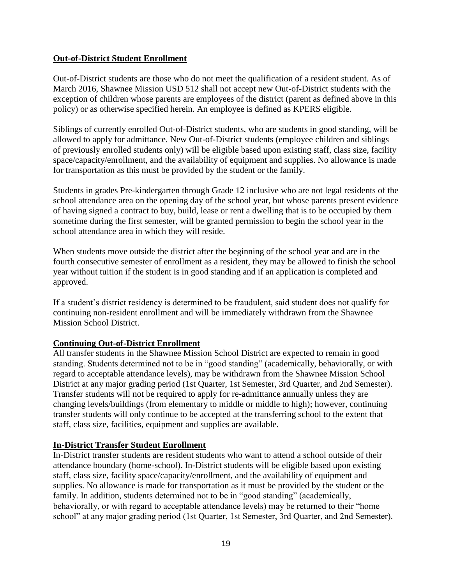#### **Out-of-District Student Enrollment**

Out-of-District students are those who do not meet the qualification of a resident student. As of March 2016, Shawnee Mission USD 512 shall not accept new Out-of-District students with the exception of children whose parents are employees of the district (parent as defined above in this policy) or as otherwise specified herein. An employee is defined as KPERS eligible.

Siblings of currently enrolled Out-of-District students, who are students in good standing, will be allowed to apply for admittance. New Out-of-District students (employee children and siblings of previously enrolled students only) will be eligible based upon existing staff, class size, facility space/capacity/enrollment, and the availability of equipment and supplies. No allowance is made for transportation as this must be provided by the student or the family.

Students in grades Pre-kindergarten through Grade 12 inclusive who are not legal residents of the school attendance area on the opening day of the school year, but whose parents present evidence of having signed a contract to buy, build, lease or rent a dwelling that is to be occupied by them sometime during the first semester, will be granted permission to begin the school year in the school attendance area in which they will reside.

When students move outside the district after the beginning of the school year and are in the fourth consecutive semester of enrollment as a resident, they may be allowed to finish the school year without tuition if the student is in good standing and if an application is completed and approved.

If a student's district residency is determined to be fraudulent, said student does not qualify for continuing non-resident enrollment and will be immediately withdrawn from the Shawnee Mission School District.

## **Continuing Out-of-District Enrollment**

All transfer students in the Shawnee Mission School District are expected to remain in good standing. Students determined not to be in "good standing" (academically, behaviorally, or with regard to acceptable attendance levels), may be withdrawn from the Shawnee Mission School District at any major grading period (1st Quarter, 1st Semester, 3rd Quarter, and 2nd Semester). Transfer students will not be required to apply for re-admittance annually unless they are changing levels/buildings (from elementary to middle or middle to high); however, continuing transfer students will only continue to be accepted at the transferring school to the extent that staff, class size, facilities, equipment and supplies are available.

#### **In-District Transfer Student Enrollment**

In-District transfer students are resident students who want to attend a school outside of their attendance boundary (home-school). In-District students will be eligible based upon existing staff, class size, facility space/capacity/enrollment, and the availability of equipment and supplies. No allowance is made for transportation as it must be provided by the student or the family. In addition, students determined not to be in "good standing" (academically, behaviorally, or with regard to acceptable attendance levels) may be returned to their "home school" at any major grading period (1st Quarter, 1st Semester, 3rd Quarter, and 2nd Semester).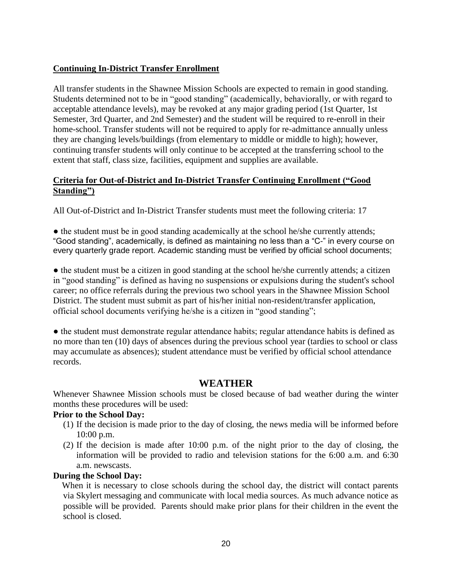## **Continuing In-District Transfer Enrollment**

All transfer students in the Shawnee Mission Schools are expected to remain in good standing. Students determined not to be in "good standing" (academically, behaviorally, or with regard to acceptable attendance levels), may be revoked at any major grading period (1st Quarter, 1st Semester, 3rd Quarter, and 2nd Semester) and the student will be required to re-enroll in their home-school. Transfer students will not be required to apply for re-admittance annually unless they are changing levels/buildings (from elementary to middle or middle to high); however, continuing transfer students will only continue to be accepted at the transferring school to the extent that staff, class size, facilities, equipment and supplies are available.

#### **Criteria for Out-of-District and In-District Transfer Continuing Enrollment ("Good Standing")**

All Out-of-District and In-District Transfer students must meet the following criteria: 17

• the student must be in good standing academically at the school he/she currently attends; "Good standing", academically, is defined as maintaining no less than a "C-" in every course on every quarterly grade report. Academic standing must be verified by official school documents;

• the student must be a citizen in good standing at the school he/she currently attends; a citizen in "good standing" is defined as having no suspensions or expulsions during the student's school career; no office referrals during the previous two school years in the Shawnee Mission School District. The student must submit as part of his/her initial non-resident/transfer application, official school documents verifying he/she is a citizen in "good standing";

• the student must demonstrate regular attendance habits; regular attendance habits is defined as no more than ten (10) days of absences during the previous school year (tardies to school or class may accumulate as absences); student attendance must be verified by official school attendance records.

## **WEATHER**

Whenever Shawnee Mission schools must be closed because of bad weather during the winter months these procedures will be used:

#### **Prior to the School Day:**

- (1) If the decision is made prior to the day of closing, the news media will be informed before 10:00 p.m.
- (2) If the decision is made after 10:00 p.m. of the night prior to the day of closing, the information will be provided to radio and television stations for the 6:00 a.m. and 6:30 a.m. newscasts.

#### **During the School Day:**

When it is necessary to close schools during the school day, the district will contact parents via Skylert messaging and communicate with local media sources. As much advance notice as possible will be provided. Parents should make prior plans for their children in the event the school is closed.